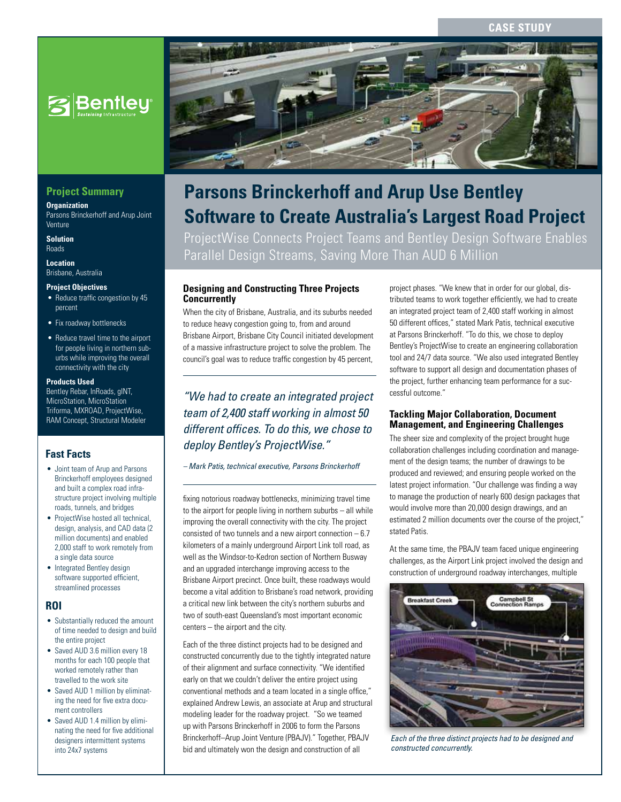# **Case Study**



# **Project Summary**

**Organization** Parsons Brinckerhoff and Arup Joint Venture

**Solution** Roads

**Location** Brisbane, Australia

#### **Project Objectives**

- Reduce traffic congestion by 45 percent
- Fix roadway bottlenecks
- Reduce travel time to the airport for people living in northern suburbs while improving the overall connectivity with the city

#### **Products Used**

Bentley Rebar, InRoads, gINT, MicroStation, MicroStation Triforma, MXROAD, ProjectWise, RAM Concept, Structural Modeler

# **Fast Facts**

- Joint team of Arup and Parsons Brinckerhoff employees designed and built a complex road infrastructure project involving multiple roads, tunnels, and bridges
- ProjectWise hosted all technical, design, analysis, and CAD data (2 million documents) and enabled 2,000 staff to work remotely from a single data source
- Integrated Bentley design software supported efficient, streamlined processes

#### **ROI**

- Substantially reduced the amount of time needed to design and build the entire project
- Saved AUD 3.6 million every 18 months for each 100 people that worked remotely rather than travelled to the work site
- Saved AUD 1 million by eliminating the need for five extra document controllers
- Saved AUD 1.4 million by eliminating the need for five additional designers intermittent systems into 24x7 systems



# **Parsons Brinckerhoff and Arup Use Bentley Software to Create Australia's Largest Road Project**

ProjectWise Connects Project Teams and Bentley Design Software Enables Parallel Design Streams, Saving More Than AUD 6 Million

## **Designing and Constructing Three Projects Concurrently**

When the city of Brisbane, Australia, and its suburbs needed to reduce heavy congestion going to, from and around Brisbane Airport, Brisbane City Council initiated development of a massive infrastructure project to solve the problem. The council's goal was to reduce traffic congestion by 45 percent,

*"We had to create an integrated project team of 2,400 staff working in almost 50 different offices. To do this, we chose to deploy Bentley's ProjectWise."*

#### *– Mark Patis, technical executive, Parsons Brinckerhoff*

fixing notorious roadway bottlenecks, minimizing travel time to the airport for people living in northern suburbs – all while improving the overall connectivity with the city. The project consisted of two tunnels and a new airport connection – 6.7 kilometers of a mainly underground Airport Link toll road, as well as the Windsor-to-Kedron section of Northern Busway and an upgraded interchange improving access to the Brisbane Airport precinct. Once built, these roadways would become a vital addition to Brisbane's road network, providing a critical new link between the city's northern suburbs and two of south-east Queensland's most important economic centers – the airport and the city.

Each of the three distinct projects had to be designed and constructed concurrently due to the tightly integrated nature of their alignment and surface connectivity. "We identified early on that we couldn't deliver the entire project using conventional methods and a team located in a single office," explained Andrew Lewis, an associate at Arup and structural modeling leader for the roadway project. "So we teamed up with Parsons Brinckerhoff in 2006 to form the Parsons Brinckerhoff–Arup Joint Venture (PBAJV)." Together, PBAJV bid and ultimately won the design and construction of all

project phases. "We knew that in order for our global, distributed teams to work together efficiently, we had to create an integrated project team of 2,400 staff working in almost 50 different offices," stated Mark Patis, technical executive at Parsons Brinckerhoff. "To do this, we chose to deploy Bentley's ProjectWise to create an engineering collaboration tool and 24/7 data source. "We also used integrated Bentley software to support all design and documentation phases of the project, further enhancing team performance for a successful outcome."

#### **Tackling Major Collaboration, Document Management, and Engineering Challenges**

The sheer size and complexity of the project brought huge collaboration challenges including coordination and management of the design teams; the number of drawings to be produced and reviewed; and ensuring people worked on the latest project information. "Our challenge was finding a way to manage the production of nearly 600 design packages that would involve more than 20,000 design drawings, and an estimated 2 million documents over the course of the project," stated Patis.

At the same time, the PBAJV team faced unique engineering challenges, as the Airport Link project involved the design and construction of underground roadway interchanges, multiple



*Each of the three distinct projects had to be designed and constructed concurrently.*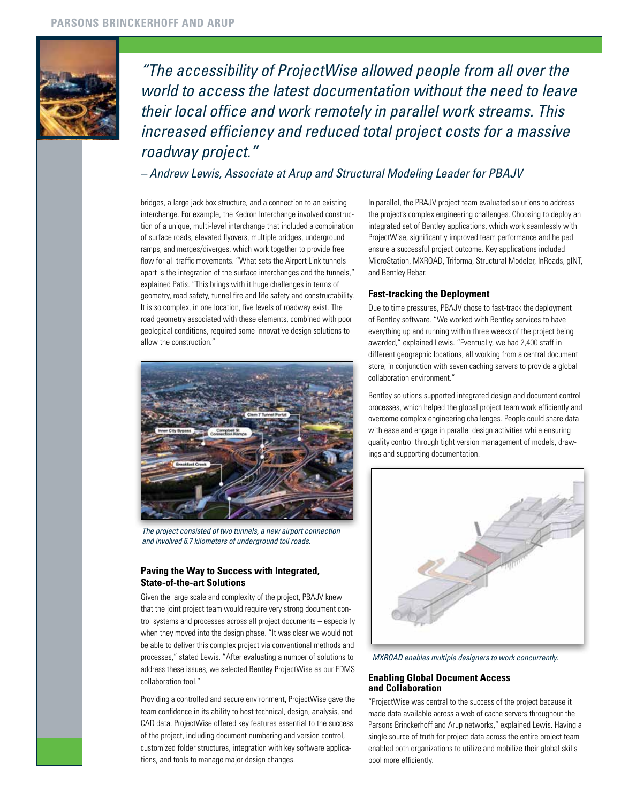

*"The accessibility of ProjectWise allowed people from all over the world to access the latest documentation without the need to leave their local office and work remotely in parallel work streams. This increased efficiency and reduced total project costs for a massive roadway project."*

*– Andrew Lewis, Associate at Arup and Structural Modeling Leader for PBAJV*

bridges, a large jack box structure, and a connection to an existing interchange. For example, the Kedron Interchange involved construction of a unique, multi-level interchange that included a combination of surface roads, elevated flyovers, multiple bridges, underground ramps, and merges/diverges, which work together to provide free flow for all traffic movements. "What sets the Airport Link tunnels apart is the integration of the surface interchanges and the tunnels," explained Patis. "This brings with it huge challenges in terms of geometry, road safety, tunnel fire and life safety and constructability. It is so complex, in one location, five levels of roadway exist. The road geometry associated with these elements, combined with poor geological conditions, required some innovative design solutions to allow the construction."



*The project consisted of two tunnels, a new airport connection and involved 6.7 kilometers of underground toll roads.*

# **Paving the Way to Success with Integrated, State-of-the-art Solutions**

Given the large scale and complexity of the project, PBAJV knew that the joint project team would require very strong document control systems and processes across all project documents – especially when they moved into the design phase. "It was clear we would not be able to deliver this complex project via conventional methods and processes," stated Lewis. "After evaluating a number of solutions to address these issues, we selected Bentley ProjectWise as our EDMS collaboration tool."

Providing a controlled and secure environment, ProjectWise gave the team confidence in its ability to host technical, design, analysis, and CAD data. ProjectWise offered key features essential to the success of the project, including document numbering and version control, customized folder structures, integration with key software applications, and tools to manage major design changes.

In parallel, the PBAJV project team evaluated solutions to address the project's complex engineering challenges. Choosing to deploy an integrated set of Bentley applications, which work seamlessly with ProjectWise, significantly improved team performance and helped ensure a successful project outcome. Key applications included MicroStation, MXROAD, Triforma, Structural Modeler, InRoads, gINT, and Bentley Rebar.

# **Fast-tracking the Deployment**

Due to time pressures, PBAJV chose to fast-track the deployment of Bentley software. "We worked with Bentley services to have everything up and running within three weeks of the project being awarded," explained Lewis. "Eventually, we had 2,400 staff in different geographic locations, all working from a central document store, in conjunction with seven caching servers to provide a global collaboration environment."

Bentley solutions supported integrated design and document control processes, which helped the global project team work efficiently and overcome complex engineering challenges. People could share data with ease and engage in parallel design activities while ensuring quality control through tight version management of models, drawings and supporting documentation.



*MXROAD enables multiple designers to work concurrently.*

# **Enabling Global Document Access and Collaboration**

"ProjectWise was central to the success of the project because it made data available across a web of cache servers throughout the Parsons Brinckerhoff and Arup networks," explained Lewis. Having a single source of truth for project data across the entire project team enabled both organizations to utilize and mobilize their global skills pool more efficiently.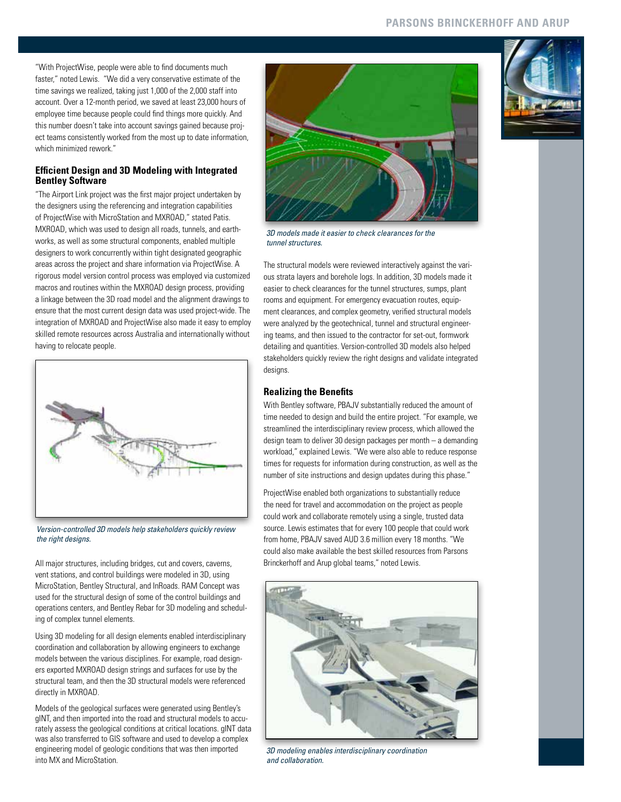"With ProjectWise, people were able to find documents much faster," noted Lewis. "We did a very conservative estimate of the time savings we realized, taking just 1,000 of the 2,000 staff into account. Over a 12-month period, we saved at least 23,000 hours of employee time because people could find things more quickly. And this number doesn't take into account savings gained because project teams consistently worked from the most up to date information, which minimized rework."

## **Efficient Design and 3D Modeling with Integrated Bentley Software**

"The Airport Link project was the first major project undertaken by the designers using the referencing and integration capabilities of ProjectWise with MicroStation and MXROAD," stated Patis. MXROAD, which was used to design all roads, tunnels, and earthworks, as well as some structural components, enabled multiple designers to work concurrently within tight designated geographic areas across the project and share information via ProjectWise. A rigorous model version control process was employed via customized macros and routines within the MXROAD design process, providing a linkage between the 3D road model and the alignment drawings to ensure that the most current design data was used project-wide. The integration of MXROAD and ProjectWise also made it easy to employ skilled remote resources across Australia and internationally without having to relocate people.



*Version-controlled 3D models help stakeholders quickly review the right designs.*

All major structures, including bridges, cut and covers, caverns, vent stations, and control buildings were modeled in 3D, using MicroStation, Bentley Structural, and InRoads. RAM Concept was used for the structural design of some of the control buildings and operations centers, and Bentley Rebar for 3D modeling and scheduling of complex tunnel elements.

Using 3D modeling for all design elements enabled interdisciplinary coordination and collaboration by allowing engineers to exchange models between the various disciplines. For example, road designers exported MXROAD design strings and surfaces for use by the structural team, and then the 3D structural models were referenced directly in MXROAD.

Models of the geological surfaces were generated using Bentley's gINT, and then imported into the road and structural models to accurately assess the geological conditions at critical locations. gINT data was also transferred to GIS software and used to develop a complex engineering model of geologic conditions that was then imported into MX and MicroStation.



*3D models made it easier to check clearances for the tunnel structures.*

The structural models were reviewed interactively against the various strata layers and borehole logs. In addition, 3D models made it easier to check clearances for the tunnel structures, sumps, plant rooms and equipment. For emergency evacuation routes, equipment clearances, and complex geometry, verified structural models were analyzed by the geotechnical, tunnel and structural engineering teams, and then issued to the contractor for set-out, formwork detailing and quantities. Version-controlled 3D models also helped stakeholders quickly review the right designs and validate integrated designs.

# **Realizing the Benefits**

With Bentley software, PBAJV substantially reduced the amount of time needed to design and build the entire project. "For example, we streamlined the interdisciplinary review process, which allowed the design team to deliver 30 design packages per month – a demanding workload," explained Lewis. "We were also able to reduce response times for requests for information during construction, as well as the number of site instructions and design updates during this phase."

ProjectWise enabled both organizations to substantially reduce the need for travel and accommodation on the project as people could work and collaborate remotely using a single, trusted data source. Lewis estimates that for every 100 people that could work from home, PBAJV saved AUD 3.6 million every 18 months. "We could also make available the best skilled resources from Parsons Brinckerhoff and Arup global teams," noted Lewis.



*3D modeling enables interdisciplinary coordination and collaboration.*